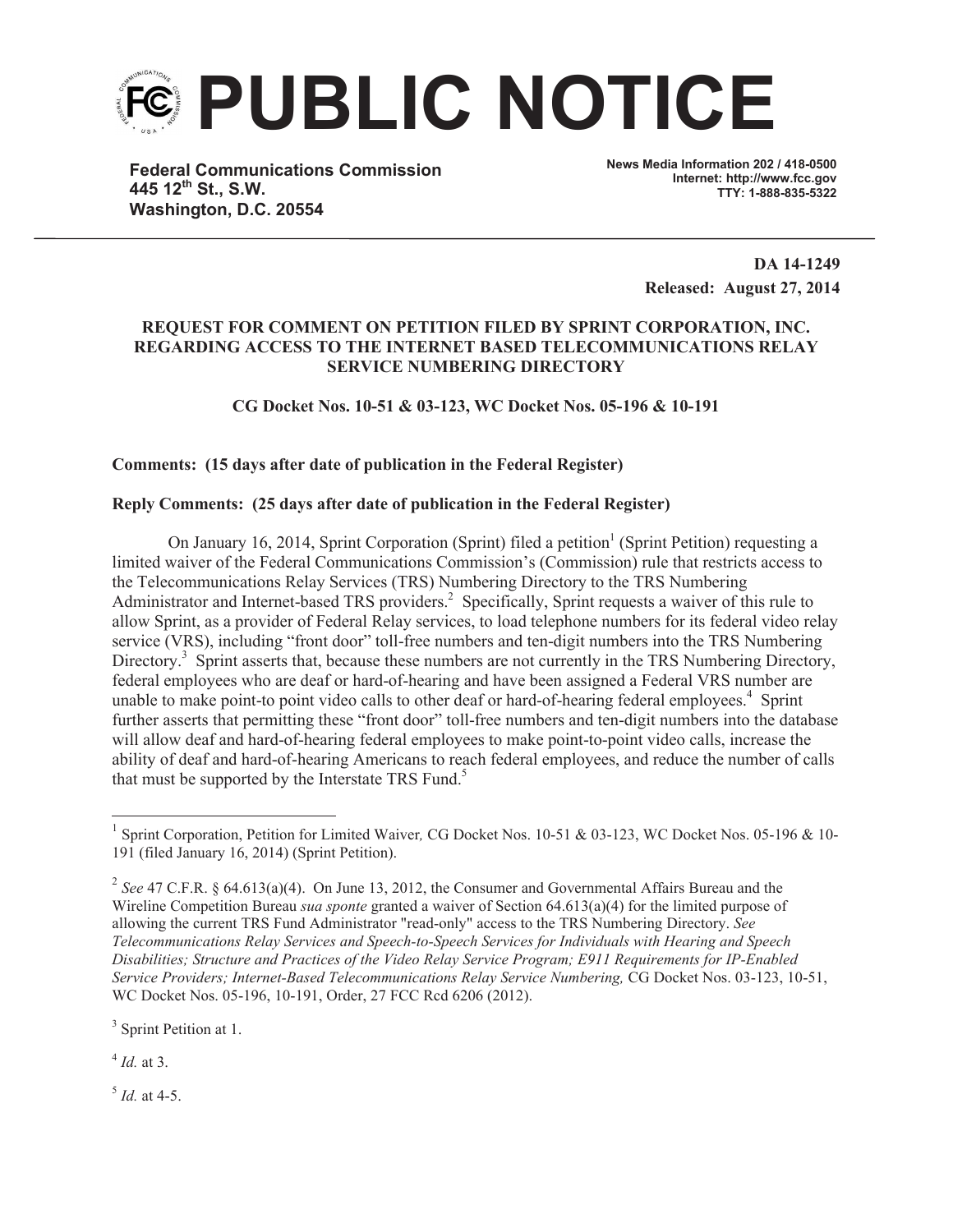

**Federal Communications Commission 445 12th St., S.W. Washington, D.C. 20554**

**News Media Information 202 / 418-0500 Internet: http://www.fcc.gov TTY: 1-888-835-5322**

> **DA 14-1249 Released: August 27, 2014**

## **REQUEST FOR COMMENT ON PETITION FILED BY SPRINT CORPORATION, INC. REGARDING ACCESS TO THE INTERNET BASED TELECOMMUNICATIONS RELAY SERVICE NUMBERING DIRECTORY**

**CG Docket Nos. 10-51 & 03-123, WC Docket Nos. 05-196 & 10-191**

## **Comments: (15 days after date of publication in the Federal Register)**

## **Reply Comments: (25 days after date of publication in the Federal Register)**

On January 16, 2014, Sprint Corporation (Sprint) filed a petition<sup>1</sup> (Sprint Petition) requesting a limited waiver of the Federal Communications Commission's (Commission) rule that restricts access to the Telecommunications Relay Services (TRS) Numbering Directory to the TRS Numbering Administrator and Internet-based TRS providers.<sup>2</sup> Specifically, Sprint requests a waiver of this rule to allow Sprint, as a provider of Federal Relay services, to load telephone numbers for its federal video relay service (VRS), including "front door" toll-free numbers and ten-digit numbers into the TRS Numbering Directory.<sup>3</sup> Sprint asserts that, because these numbers are not currently in the TRS Numbering Directory, federal employees who are deaf or hard-of-hearing and have been assigned a Federal VRS number are unable to make point-to point video calls to other deaf or hard-of-hearing federal employees.<sup>4</sup> Sprint further asserts that permitting these "front door" toll-free numbers and ten-digit numbers into the database will allow deaf and hard-of-hearing federal employees to make point-to-point video calls, increase the ability of deaf and hard-of-hearing Americans to reach federal employees, and reduce the number of calls that must be supported by the Interstate TRS Fund.<sup>5</sup>

<sup>3</sup> Sprint Petition at 1.

4 *Id.* at 3.

5 *Id.* at 4-5.

<sup>&</sup>lt;sup>1</sup> Sprint Corporation, Petition for Limited Waiver, CG Docket Nos. 10-51 & 03-123, WC Docket Nos. 05-196 & 10-191 (filed January 16, 2014) (Sprint Petition).

<sup>&</sup>lt;sup>2</sup> See 47 C.F.R. § 64.613(a)(4). On June 13, 2012, the Consumer and Governmental Affairs Bureau and the Wireline Competition Bureau *sua sponte* granted a waiver of Section 64.613(a)(4) for the limited purpose of allowing the current TRS Fund Administrator "read-only" access to the TRS Numbering Directory. *See Telecommunications Relay Services and Speech-to-Speech Services for Individuals with Hearing and Speech Disabilities; Structure and Practices of the Video Relay Service Program; E911 Requirements for IP-Enabled Service Providers; Internet-Based Telecommunications Relay Service Numbering,* CG Docket Nos. 03-123, 10-51, WC Docket Nos. 05-196, 10-191, Order, 27 FCC Rcd 6206 (2012).